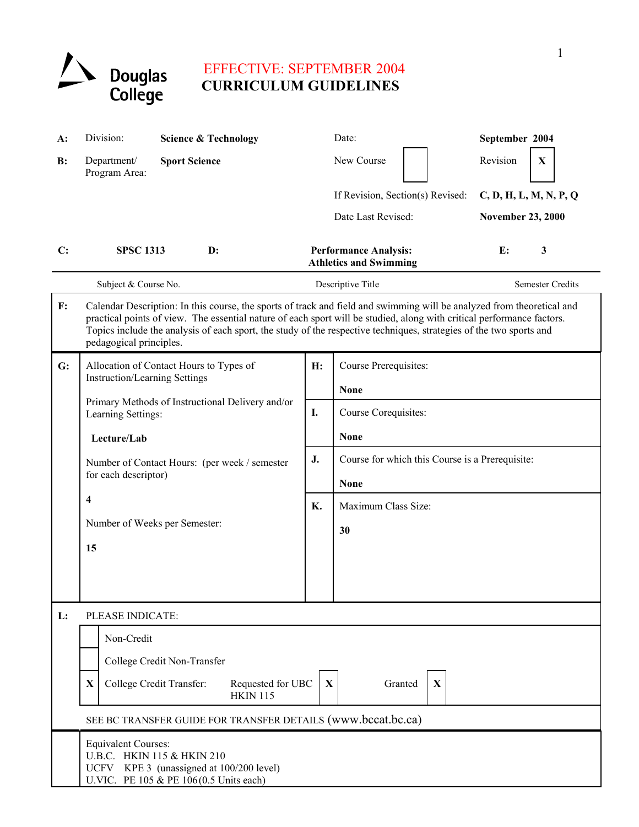

# **CURRICULUM GUIDELINES**

| $A$ :          | Division:                                                                                                                                                                                                                                                                                                                                                                                          | <b>Science &amp; Technology</b>                                                                 |           | Date:                                                          | September 2004           |  |
|----------------|----------------------------------------------------------------------------------------------------------------------------------------------------------------------------------------------------------------------------------------------------------------------------------------------------------------------------------------------------------------------------------------------------|-------------------------------------------------------------------------------------------------|-----------|----------------------------------------------------------------|--------------------------|--|
| B:             | Department/<br>Program Area:                                                                                                                                                                                                                                                                                                                                                                       | <b>Sport Science</b>                                                                            |           | New Course                                                     | Revision<br>X            |  |
|                |                                                                                                                                                                                                                                                                                                                                                                                                    |                                                                                                 |           | If Revision, Section(s) Revised:                               | C, D, H, L, M, N, P, Q   |  |
|                |                                                                                                                                                                                                                                                                                                                                                                                                    |                                                                                                 |           | Date Last Revised:                                             | <b>November 23, 2000</b> |  |
| C:             | <b>SPSC 1313</b>                                                                                                                                                                                                                                                                                                                                                                                   | $\mathbf{D}$ :                                                                                  |           | <b>Performance Analysis:</b><br><b>Athletics and Swimming</b>  | 3<br>E:                  |  |
|                | Subject & Course No.                                                                                                                                                                                                                                                                                                                                                                               |                                                                                                 |           | Descriptive Title                                              | <b>Semester Credits</b>  |  |
| $\mathbf{F}$ : | Calendar Description: In this course, the sports of track and field and swimming will be analyzed from theoretical and<br>practical points of view. The essential nature of each sport will be studied, along with critical performance factors.<br>Topics include the analysis of each sport, the study of the respective techniques, strategies of the two sports and<br>pedagogical principles. |                                                                                                 |           |                                                                |                          |  |
| G:             | <b>Instruction/Learning Settings</b>                                                                                                                                                                                                                                                                                                                                                               | Allocation of Contact Hours to Types of                                                         | H:        | Course Prerequisites:<br><b>None</b>                           |                          |  |
|                | Learning Settings:                                                                                                                                                                                                                                                                                                                                                                                 | Primary Methods of Instructional Delivery and/or                                                | I.        | Course Corequisites:                                           |                          |  |
|                | Lecture/Lab                                                                                                                                                                                                                                                                                                                                                                                        |                                                                                                 |           | <b>None</b>                                                    |                          |  |
|                | for each descriptor)                                                                                                                                                                                                                                                                                                                                                                               | Number of Contact Hours: (per week / semester                                                   | J.        | Course for which this Course is a Prerequisite:<br><b>None</b> |                          |  |
|                | 4                                                                                                                                                                                                                                                                                                                                                                                                  |                                                                                                 | <b>K.</b> | Maximum Class Size:                                            |                          |  |
|                | Number of Weeks per Semester:                                                                                                                                                                                                                                                                                                                                                                      |                                                                                                 |           | 30                                                             |                          |  |
|                | 15                                                                                                                                                                                                                                                                                                                                                                                                 |                                                                                                 |           |                                                                |                          |  |
|                |                                                                                                                                                                                                                                                                                                                                                                                                    |                                                                                                 |           |                                                                |                          |  |
|                |                                                                                                                                                                                                                                                                                                                                                                                                    |                                                                                                 |           |                                                                |                          |  |
| L:             |                                                                                                                                                                                                                                                                                                                                                                                                    | PLEASE INDICATE:                                                                                |           |                                                                |                          |  |
|                | Non-Credit                                                                                                                                                                                                                                                                                                                                                                                         |                                                                                                 |           |                                                                |                          |  |
|                |                                                                                                                                                                                                                                                                                                                                                                                                    | College Credit Non-Transfer                                                                     |           |                                                                |                          |  |
|                | X                                                                                                                                                                                                                                                                                                                                                                                                  | Requested for UBC<br>College Credit Transfer:<br>$\mathbf X$<br>Granted<br>X<br><b>HKIN 115</b> |           |                                                                |                          |  |
|                |                                                                                                                                                                                                                                                                                                                                                                                                    | SEE BC TRANSFER GUIDE FOR TRANSFER DETAILS (www.bccat.bc.ca)                                    |           |                                                                |                          |  |
|                | <b>Equivalent Courses:</b><br>U.B.C. HKIN 115 & HKIN 210<br>UCFV KPE 3 (unassigned at 100/200 level)<br>U.VIC. PE 105 & PE 106 (0.5 Units each)                                                                                                                                                                                                                                                    |                                                                                                 |           |                                                                |                          |  |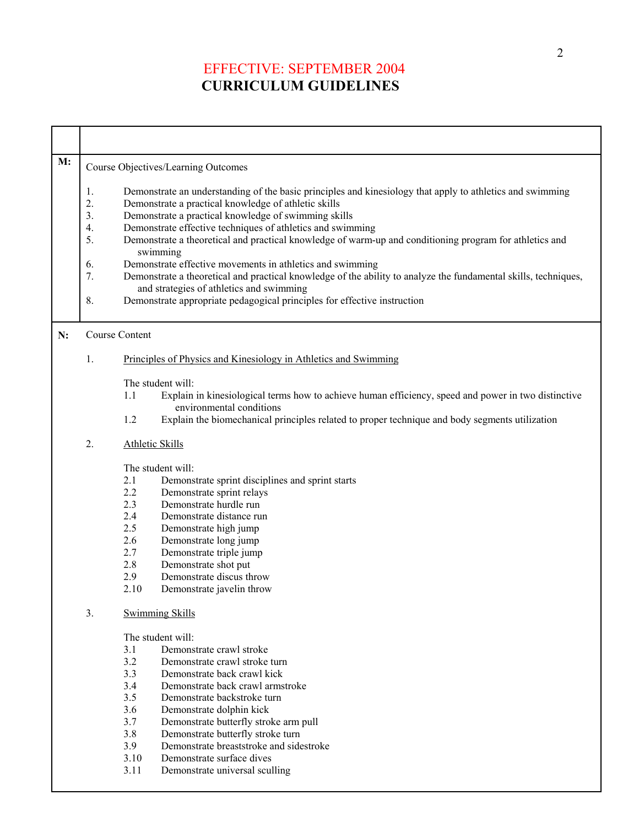## **CURRICULUM GUIDELINES**  EFFECTIVE: SEPTEMBER 2004

**M:** Course Objectives/Learning Outcomes 1. Demonstrate an understanding of the basic principles and kinesiology that apply to athletics and swimming 2. Demonstrate a practical knowledge of athletic skills 3. Demonstrate a practical knowledge of swimming skills 4. Demonstrate effective techniques of athletics and swimming 5. Demonstrate a theoretical and practical knowledge of warm-up and conditioning program for athletics and swimming 6. Demonstrate effective movements in athletics and swimming 7. Demonstrate a theoretical and practical knowledge of the ability to analyze the fundamental skills, techniques, and strategies of athletics and swimming 8. Demonstrate appropriate pedagogical principles for effective instruction **N:** Course Content 1. Principles of Physics and Kinesiology in Athletics and Swimming The student will: 1.1 Explain in kinesiological terms how to achieve human efficiency, speed and power in two distinctive environmental conditions 1.2 Explain the biomechanical principles related to proper technique and body segments utilization 2. Athletic Skills The student will: 2.1 Demonstrate sprint disciplines and sprint starts 2.2 Demonstrate sprint relays 2.3 Demonstrate hurdle run 2.4 Demonstrate distance run 2.5 Demonstrate high jump 2.6 Demonstrate long jump 2.7 Demonstrate triple jump 2.8 Demonstrate shot put 2.9 Demonstrate discus throw 2.10 Demonstrate javelin throw 3. Swimming Skills The student will: 3.1 Demonstrate crawl stroke 3.2 Demonstrate crawl stroke turn 3.3 Demonstrate back crawl kick 3.4 Demonstrate back crawl armstroke 3.5 Demonstrate backstroke turn 3.6 Demonstrate dolphin kick 3.7 Demonstrate butterfly stroke arm pull

- 3.8 Demonstrate butterfly stroke turn
- 3.9 Demonstrate breaststroke and sidestroke
- 3.10 Demonstrate surface dives
- 3.11 Demonstrate universal sculling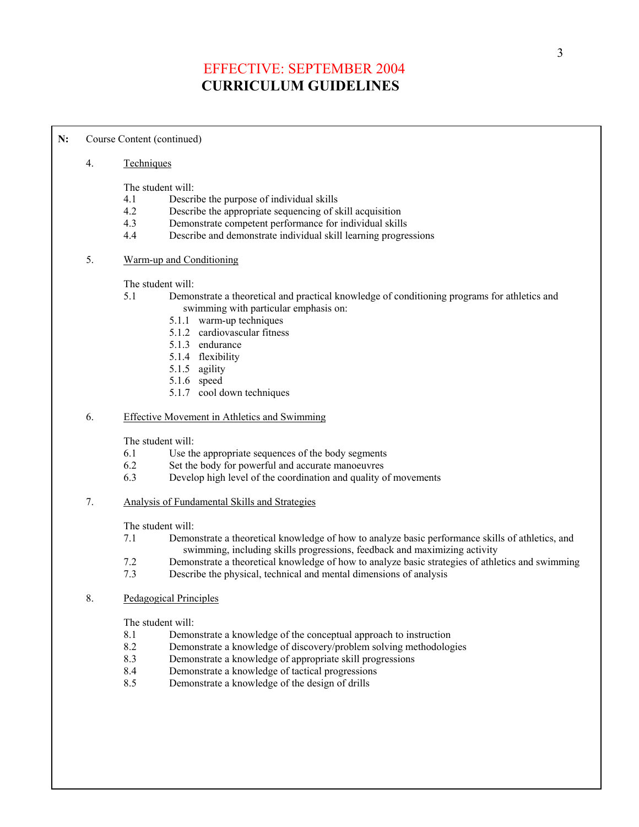### **CURRICULUM GUIDELINES**  EFFECTIVE: SEPTEMBER 2004

#### **N:** Course Content (continued)

#### 4. Techniques

The student will:

- 4.1 Describe the purpose of individual skills
- 4.2 Describe the appropriate sequencing of skill acquisition
- 4.3 Demonstrate competent performance for individual skills
- 4.4 Describe and demonstrate individual skill learning progressions
- 5. Warm-up and Conditioning

The student will:

5.1 Demonstrate a theoretical and practical knowledge of conditioning programs for athletics and swimming with particular emphasis on:

- 5.1.1 warm-up techniques
- 5.1.2 cardiovascular fitness
- 5.1.3 endurance
- 5.1.4 flexibility
- 5.1.5 agility
- 5.1.6 speed
- 5.1.7 cool down techniques

#### 6. Effective Movement in Athletics and Swimming

The student will:

- 6.1 Use the appropriate sequences of the body segments
- 6.2 Set the body for powerful and accurate manoeuvres
- 6.3 Develop high level of the coordination and quality of movements
- 7. Analysis of Fundamental Skills and Strategies

The student will:

- 7.1 Demonstrate a theoretical knowledge of how to analyze basic performance skills of athletics, and swimming, including skills progressions, feedback and maximizing activity
- 7.2 Demonstrate a theoretical knowledge of how to analyze basic strategies of athletics and swimming
- 7.3 Describe the physical, technical and mental dimensions of analysis
- 8. Pedagogical Principles

The student will:

- 8.1 Demonstrate a knowledge of the conceptual approach to instruction
- 8.2 Demonstrate a knowledge of discovery/problem solving methodologies
- 8.3 Demonstrate a knowledge of appropriate skill progressions
- 8.4 Demonstrate a knowledge of tactical progressions
- 8.5 Demonstrate a knowledge of the design of drills